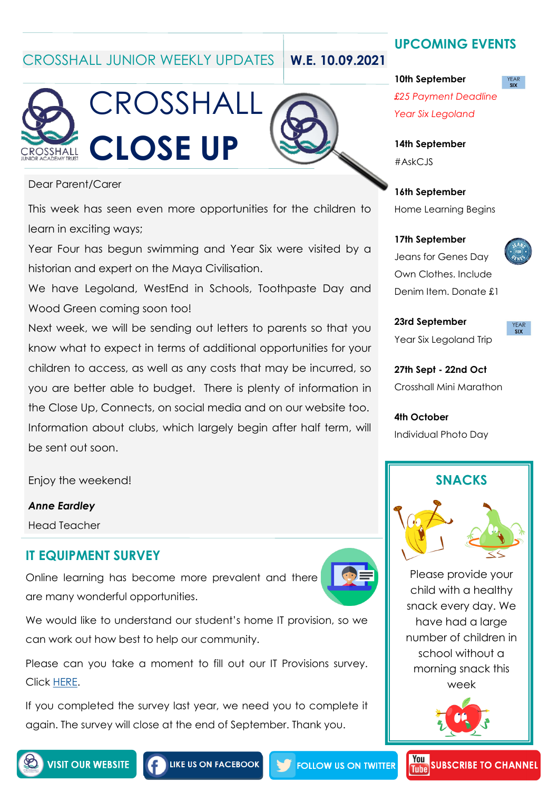# CROSSHALL JUNIOR WEEKLY UPDATES **W.E. 10.09.2021**



#### Dear Parent/Carer

This week has seen even more opportunities for the children to learn in exciting ways;

Year Four has begun swimming and Year Six were visited by a historian and expert on the Maya Civilisation.

We have Legoland, WestEnd in Schools, Toothpaste Day and Wood Green coming soon too!

Next week, we will be sending out letters to parents so that you know what to expect in terms of additional opportunities for your children to access, as well as any costs that may be incurred, so you are better able to budget. There is plenty of information in the Close Up, Connects, on social media and on our website too. Information about clubs, which largely begin after half term, will be sent out soon.

Enjoy the weekend!

*Anne Eardley* Head Teacher

## **IT EQUIPMENT SURVEY**

Online learning has become more prevalent and there are many wonderful opportunities.

We would like to understand our student's home IT provision, so we can work out how best to help our community.

Please can you take a moment to fill out our IT Provisions survey. Click [HERE.](https://docs.google.com/forms/d/e/1FAIpQLSeFIERwUxmHwwyOsR_2J2JR51JLITNXUT1jvDSJp0U40cxAEA/viewform?usp=pp_urlU:/Calibre%20Library)

If you completed the survey last year, we need you to complete it again. The survey will close at the end of September. Thank you.

# **UPCOMING EVENTS**

#### **10th September**

*£25 Payment Deadline Year Six Legoland* 

**14th September** #AskCJS

**17th September**

**16th September** Home Learning Begins



Jeans for Genes Day Own Clothes. Include Denim Item. Donate £1

**23rd September** Year Six Legoland Trip

**CIV** 

**27th Sept - 22nd Oct** Crosshall Mini Marathon

**4th October** Individual Photo Day



Please provide your child with a healthy snack every day. We have had a large number of children in school without a morning snack this week





**FOLLOW US ON TWITTER**